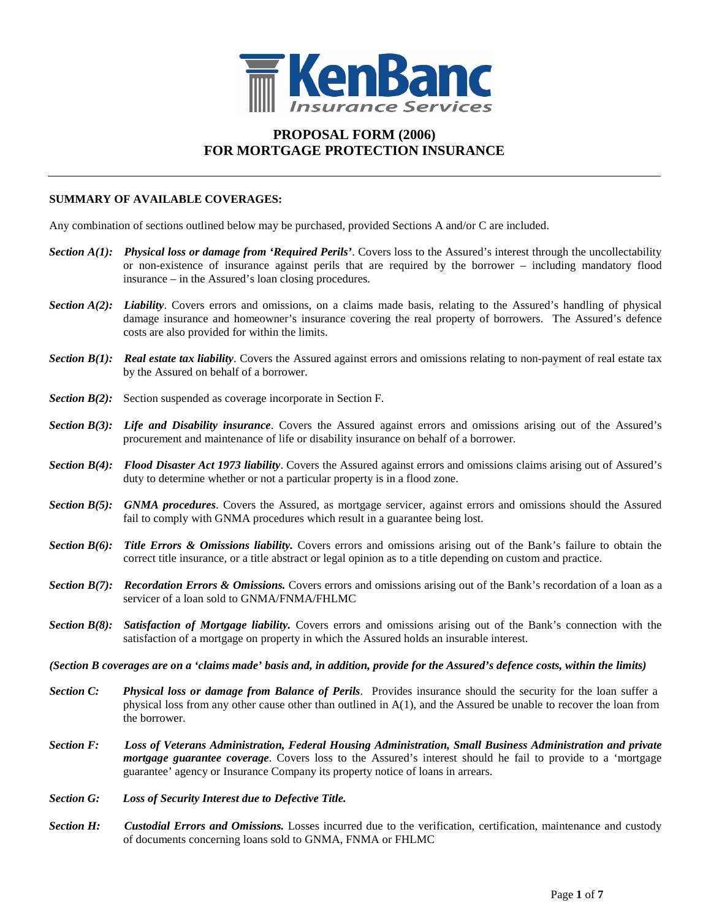

### **PROPOSAL FORM (2006) FOR MORTGAGE PROTECTION INSURANCE**

#### **SUMMARY OF AVAILABLE COVERAGES:**

Any combination of sections outlined below may be purchased, provided Sections A and/or C are included.

- *Section A(1): Physical loss or damage from 'Required Perils'*. Covers loss to the Assured's interest through the uncollectability or non-existence of insurance against perils that are required by the borrower – including mandatory flood insurance – in the Assured's loan closing procedures.
- *Section A(2): Liability*. Covers errors and omissions, on a claims made basis, relating to the Assured's handling of physical damage insurance and homeowner's insurance covering the real property of borrowers. The Assured's defence costs are also provided for within the limits.
- *Section B(1): Real estate tax liability*. Covers the Assured against errors and omissions relating to non-payment of real estate tax by the Assured on behalf of a borrower.
- *Section B(2):* Section suspended as coverage incorporate in Section F.
- *Section B(3): Life and Disability insurance*. Covers the Assured against errors and omissions arising out of the Assured's procurement and maintenance of life or disability insurance on behalf of a borrower.
- *Section B(4): Flood Disaster Act 1973 liability*. Covers the Assured against errors and omissions claims arising out of Assured's duty to determine whether or not a particular property is in a flood zone.
- *Section B(5): GNMA procedures*. Covers the Assured, as mortgage servicer, against errors and omissions should the Assured fail to comply with GNMA procedures which result in a guarantee being lost.
- *Section B(6): Title Errors & Omissions liability.* Covers errors and omissions arising out of the Bank's failure to obtain the correct title insurance, or a title abstract or legal opinion as to a title depending on custom and practice.
- *Section B(7): Recordation Errors & Omissions.* Covers errors and omissions arising out of the Bank's recordation of a loan as a servicer of a loan sold to GNMA/FNMA/FHLMC
- *Section B(8): Satisfaction of Mortgage liability.* Covers errors and omissions arising out of the Bank's connection with the satisfaction of a mortgage on property in which the Assured holds an insurable interest.
- *(Section B coverages are on a 'claims made' basis and, in addition, provide for the Assured's defence costs, within the limits)*
- *Section C: Physical loss or damage from Balance of Perils*. Provides insurance should the security for the loan suffer a physical loss from any other cause other than outlined in  $A(1)$ , and the Assured be unable to recover the loan from the borrower.
- *Section F: Loss of Veterans Administration, Federal Housing Administration, Small Business Administration and private mortgage guarantee coverage*. Covers loss to the Assured's interest should he fail to provide to a 'mortgage guarantee' agency or Insurance Company its property notice of loans in arrears.
- *Section G: Loss of Security Interest due to Defective Title.*
- *Section H: Custodial Errors and Omissions.* Losses incurred due to the verification, certification, maintenance and custody of documents concerning loans sold to GNMA, FNMA or FHLMC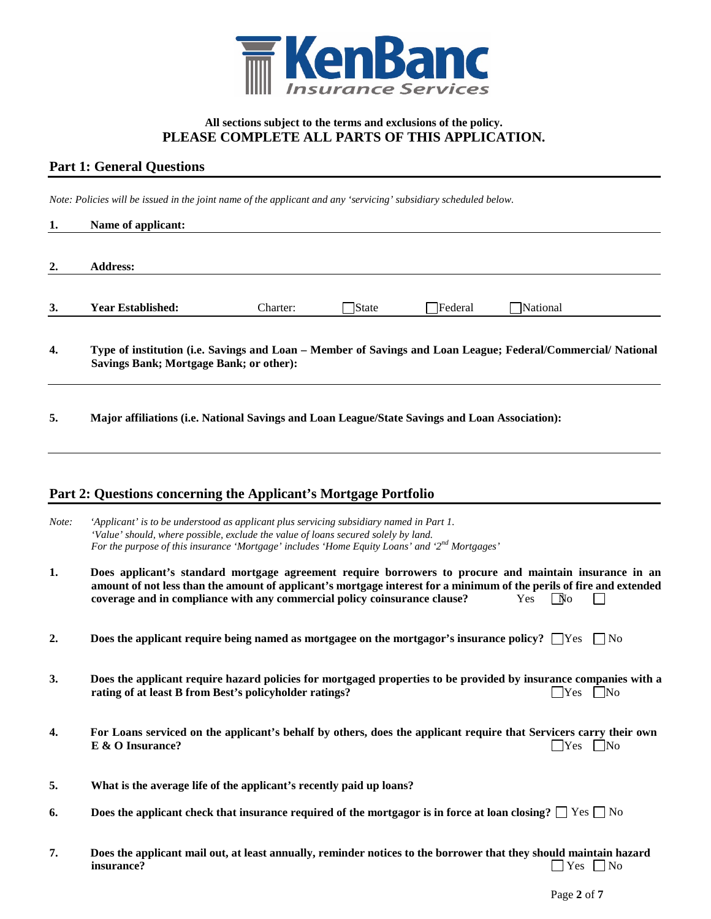

#### **All sections subject to the terms and exclusions of the policy. PLEASE COMPLETE ALL PARTS OF THIS APPLICATION.**

## **Part 1: General Questions**

*Note: Policies will be issued in the joint name of the applicant and any 'servicing' subsidiary scheduled below.*

| 1.    | Name of applicant:                                                                                                                                                                                                                                                                                          |          |       |         |                   |                      |
|-------|-------------------------------------------------------------------------------------------------------------------------------------------------------------------------------------------------------------------------------------------------------------------------------------------------------------|----------|-------|---------|-------------------|----------------------|
| 2.    | <b>Address:</b>                                                                                                                                                                                                                                                                                             |          |       |         |                   |                      |
| 3.    | <b>Year Established:</b>                                                                                                                                                                                                                                                                                    | Charter: | State | Federal | National          |                      |
| 4.    | Type of institution (i.e. Savings and Loan – Member of Savings and Loan League; Federal/Commercial/National<br><b>Savings Bank; Mortgage Bank; or other):</b>                                                                                                                                               |          |       |         |                   |                      |
| 5.    | Major affiliations (i.e. National Savings and Loan League/State Savings and Loan Association):                                                                                                                                                                                                              |          |       |         |                   |                      |
|       | Part 2: Questions concerning the Applicant's Mortgage Portfolio                                                                                                                                                                                                                                             |          |       |         |                   |                      |
| Note: | 'Applicant' is to be understood as applicant plus servicing subsidiary named in Part 1.<br>'Value' should, where possible, exclude the value of loans secured solely by land.<br>For the purpose of this insurance 'Mortgage' includes 'Home Equity Loans' and '2 <sup>nd</sup> Mortgages'                  |          |       |         |                   |                      |
| 1.    | Does applicant's standard mortgage agreement require borrowers to procure and maintain insurance in an<br>amount of not less than the amount of applicant's mortgage interest for a minimum of the perils of fire and extended<br>coverage and in compliance with any commercial policy coinsurance clause? |          |       |         | $\sqrt{N}$<br>Yes |                      |
| 2.    | Does the applicant require being named as mortgagee on the mortgagor's insurance policy? $\Box$ Yes                                                                                                                                                                                                         |          |       |         |                   | $\vert$   No         |
| 3.    | Does the applicant require hazard policies for mortgaged properties to be provided by insurance companies with a<br>rating of at least B from Best's policyholder ratings?                                                                                                                                  |          |       |         | Yes               | $\mid$ No            |
| 4.    | For Loans serviced on the applicant's behalf by others, does the applicant require that Servicers carry their own<br>$E & O$ Insurance?                                                                                                                                                                     |          |       |         |                   | $\Box$ Yes $\Box$ No |
| 5.    | What is the average life of the applicant's recently paid up loans?                                                                                                                                                                                                                                         |          |       |         |                   |                      |
| 6.    | Does the applicant check that insurance required of the mortgagor is in force at loan closing? $\Box$ Yes $\Box$ No                                                                                                                                                                                         |          |       |         |                   |                      |
| 7.    | Does the applicant mail out, at least annually, reminder notices to the borrower that they should maintain hazard<br>insurance?                                                                                                                                                                             |          |       |         |                   | Yes $\Box$ No        |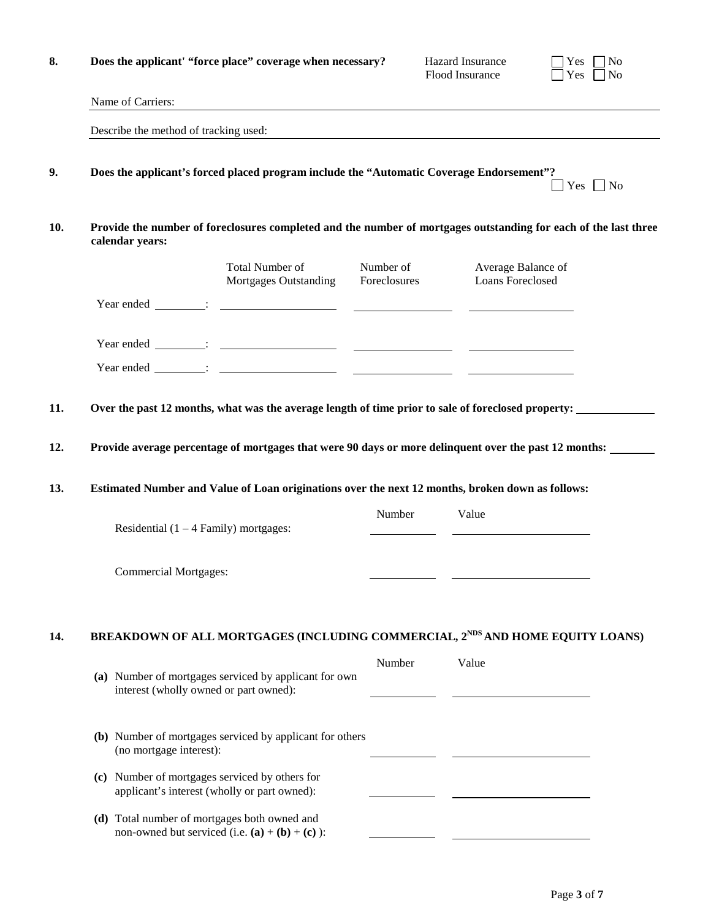| 8.  | Does the applicant' "force place" coverage when necessary?                                                                            |                           | Hazard Insurance<br>Flood Insurance    | $\neg$ No<br>Yes<br>Yes<br>N <sub>o</sub> |
|-----|---------------------------------------------------------------------------------------------------------------------------------------|---------------------------|----------------------------------------|-------------------------------------------|
|     | Name of Carriers:<br>and the control of the control of the control of the control of the control of the control of the control of the |                           |                                        |                                           |
|     | Describe the method of tracking used:                                                                                                 |                           |                                        |                                           |
| 9.  | Does the applicant's forced placed program include the "Automatic Coverage Endorsement"?                                              |                           |                                        | $Yes \tNo$                                |
| 10. | Provide the number of foreclosures completed and the number of mortgages outstanding for each of the last three<br>calendar years:    |                           |                                        |                                           |
|     | Total Number of<br><b>Mortgages Outstanding</b>                                                                                       | Number of<br>Foreclosures | Average Balance of<br>Loans Foreclosed |                                           |
|     |                                                                                                                                       |                           |                                        |                                           |
|     |                                                                                                                                       |                           |                                        |                                           |
|     |                                                                                                                                       |                           |                                        |                                           |
| 11. | Over the past 12 months, what was the average length of time prior to sale of foreclosed property:                                    |                           |                                        |                                           |
| 12. | Provide average percentage of mortgages that were 90 days or more delinquent over the past 12 months:                                 |                           |                                        |                                           |
| 13. | Estimated Number and Value of Loan originations over the next 12 months, broken down as follows:                                      |                           |                                        |                                           |
|     | Residential $(1 - 4$ Family) mortgages:                                                                                               | Number                    | Value                                  |                                           |
|     | <b>Commercial Mortgages:</b>                                                                                                          |                           |                                        |                                           |
| 14. | BREAKDOWN OF ALL MORTGAGES (INCLUDING COMMERCIAL, 2 <sup>NDS</sup> AND HOME EQUITY LOANS)                                             |                           |                                        |                                           |
|     | (a) Number of mortgages serviced by applicant for own<br>interest (wholly owned or part owned):                                       | Number                    | Value                                  |                                           |
|     | (b) Number of mortgages serviced by applicant for others<br>(no mortgage interest):                                                   |                           |                                        |                                           |
|     | (c) Number of mortgages serviced by others for<br>applicant's interest (wholly or part owned):                                        |                           |                                        |                                           |
|     | (d) Total number of mortgages both owned and<br>non-owned but serviced (i.e. $(a) + (b) + (c)$ ):                                     |                           |                                        |                                           |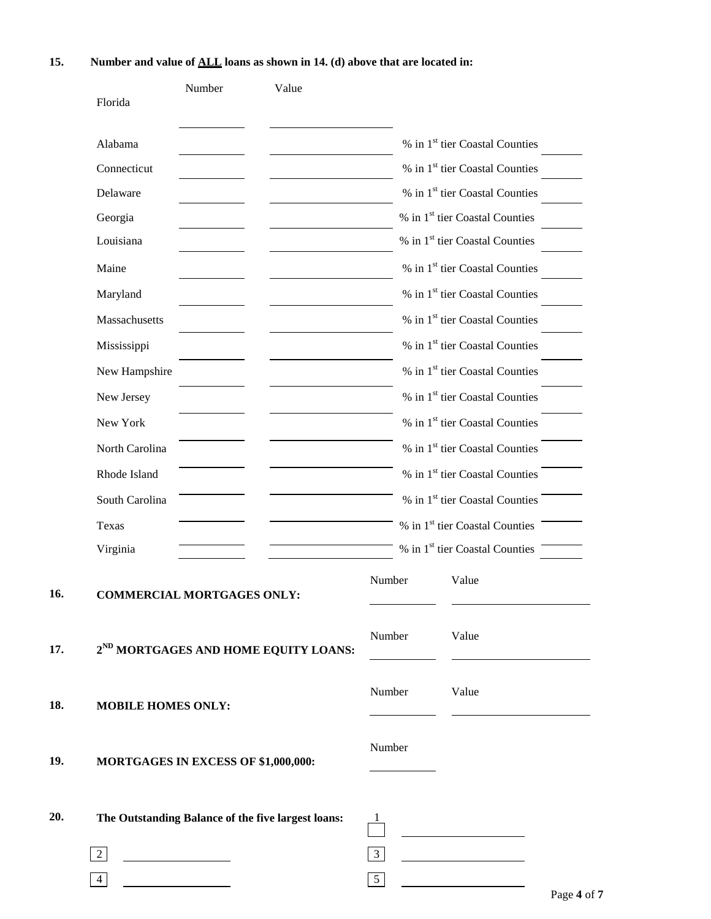|     | Florida                   | Number                                             | Value                                            |                |                                            |  |
|-----|---------------------------|----------------------------------------------------|--------------------------------------------------|----------------|--------------------------------------------|--|
|     | Alabama                   |                                                    |                                                  |                | % in 1 <sup>st</sup> tier Coastal Counties |  |
|     | Connecticut               |                                                    |                                                  |                | % in 1 <sup>st</sup> tier Coastal Counties |  |
|     | Delaware                  |                                                    |                                                  |                | % in 1 <sup>st</sup> tier Coastal Counties |  |
|     | Georgia                   |                                                    |                                                  |                | % in 1 <sup>st</sup> tier Coastal Counties |  |
|     | Louisiana                 |                                                    |                                                  |                | % in 1 <sup>st</sup> tier Coastal Counties |  |
|     | Maine                     |                                                    |                                                  |                | % in 1 <sup>st</sup> tier Coastal Counties |  |
|     | Maryland                  |                                                    |                                                  |                | % in 1 <sup>st</sup> tier Coastal Counties |  |
|     | Massachusetts             |                                                    |                                                  |                | % in 1 <sup>st</sup> tier Coastal Counties |  |
|     | Mississippi               |                                                    |                                                  |                | % in 1 <sup>st</sup> tier Coastal Counties |  |
|     | New Hampshire             |                                                    |                                                  |                | % in 1 <sup>st</sup> tier Coastal Counties |  |
|     | New Jersey                |                                                    |                                                  |                | % in 1 <sup>st</sup> tier Coastal Counties |  |
|     | New York                  |                                                    |                                                  |                | % in 1 <sup>st</sup> tier Coastal Counties |  |
|     | North Carolina            |                                                    |                                                  |                | % in 1 <sup>st</sup> tier Coastal Counties |  |
|     | Rhode Island              |                                                    |                                                  |                | % in 1 <sup>st</sup> tier Coastal Counties |  |
|     | South Carolina            |                                                    |                                                  |                | % in 1 <sup>st</sup> tier Coastal Counties |  |
|     | Texas                     |                                                    |                                                  |                | % in 1 <sup>st</sup> tier Coastal Counties |  |
|     | Virginia                  |                                                    |                                                  |                | % in 1 <sup>st</sup> tier Coastal Counties |  |
| 16. |                           | <b>COMMERCIAL MORTGAGES ONLY:</b>                  |                                                  | Number         | Value                                      |  |
| 17. |                           |                                                    | 2 <sup>ND</sup> MORTGAGES AND HOME EQUITY LOANS: | Number         | Value                                      |  |
| 18. | <b>MOBILE HOMES ONLY:</b> |                                                    |                                                  | Number         | Value                                      |  |
| 19. |                           | MORTGAGES IN EXCESS OF \$1,000,000:                |                                                  | Number         |                                            |  |
| 20. |                           | The Outstanding Balance of the five largest loans: |                                                  |                |                                            |  |
|     | $\overline{2}$            | <u> 1990 - Johann Barbara, martin a</u>            |                                                  | $\mathfrak{Z}$ |                                            |  |
|     | 4                         |                                                    |                                                  | 5 <sup>5</sup> |                                            |  |

## **15. Number and value of ALL loans as shown in 14. (d) above that are located in:**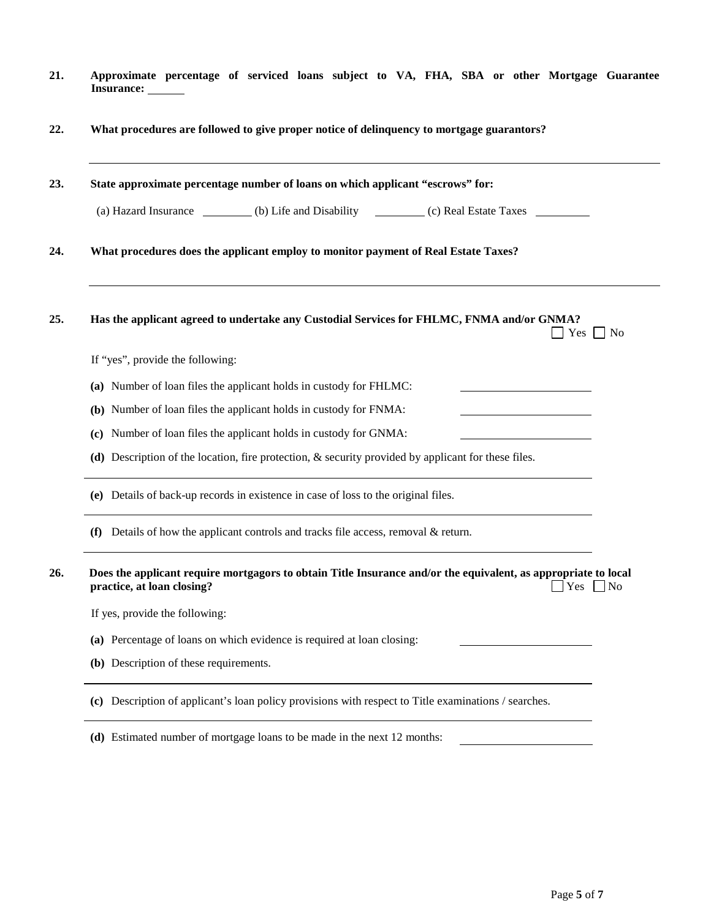- **21. Approximate percentage of serviced loans subject to VA, FHA, SBA or other Mortgage Guarantee Insurance:**
- **22. What procedures are followed to give proper notice of delinquency to mortgage guarantors?**

| Has the applicant agreed to undertake any Custodial Services for FHLMC, FNMA and/or GNMA?<br>$Yes \mid \text{No}$                                                  |  |  |  |  |
|--------------------------------------------------------------------------------------------------------------------------------------------------------------------|--|--|--|--|
|                                                                                                                                                                    |  |  |  |  |
|                                                                                                                                                                    |  |  |  |  |
|                                                                                                                                                                    |  |  |  |  |
|                                                                                                                                                                    |  |  |  |  |
| (d) Description of the location, fire protection, $\&$ security provided by applicant for these files.                                                             |  |  |  |  |
| (e) Details of back-up records in existence in case of loss to the original files.                                                                                 |  |  |  |  |
|                                                                                                                                                                    |  |  |  |  |
| Does the applicant require mortgagors to obtain Title Insurance and/or the equivalent, as appropriate to local<br>practice, at loan closing?<br>$Yes \n\bigcap No$ |  |  |  |  |
|                                                                                                                                                                    |  |  |  |  |
|                                                                                                                                                                    |  |  |  |  |
|                                                                                                                                                                    |  |  |  |  |
|                                                                                                                                                                    |  |  |  |  |

**(d)** Estimated number of mortgage loans to be made in the next 12 months:

<u> 1990 - John Stein, mars and de Branch and de Branch and de Branch and de Branch and de Branch and de Branch and de Branch and de Branch and de Branch and de Branch and de Branch and de Branch and de Branch and de Branch </u>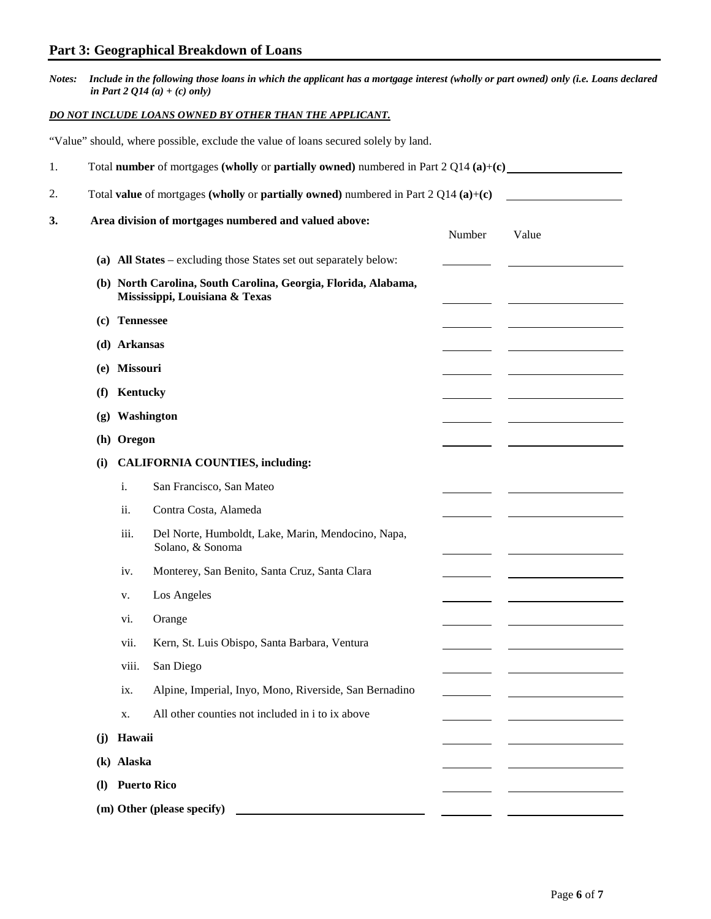# **Part 3: Geographical Breakdown of Loans**

| Notes: Include in the following those loans in which the applicant has a mortgage interest (wholly or part owned) only (i.e. Loans declared |
|---------------------------------------------------------------------------------------------------------------------------------------------|
| in Part 2 $Q14(a) + (c)$ only)                                                                                                              |

## *DO NOT INCLUDE LOANS OWNED BY OTHER THAN THE APPLICANT.*

|               |                                                                                                  |            | "Value" should, where possible, exclude the value of loans secured solely by land. |        |       |  |  |
|---------------|--------------------------------------------------------------------------------------------------|------------|------------------------------------------------------------------------------------|--------|-------|--|--|
| 1.            | Total number of mortgages (wholly or partially owned) numbered in Part $2 Q14(a)+(c)$            |            |                                                                                    |        |       |  |  |
| 2.            | Total value of mortgages (wholly or partially owned) numbered in Part $2 Q14(a)+(c)$             |            |                                                                                    |        |       |  |  |
| 3.            |                                                                                                  |            | Area division of mortgages numbered and valued above:                              | Number | Value |  |  |
|               |                                                                                                  |            | (a) All States – excluding those States set out separately below:                  |        |       |  |  |
|               | (b) North Carolina, South Carolina, Georgia, Florida, Alabama,<br>Mississippi, Louisiana & Texas |            |                                                                                    |        |       |  |  |
|               | (c) Tennessee                                                                                    |            |                                                                                    |        |       |  |  |
|               | (d) Arkansas                                                                                     |            |                                                                                    |        |       |  |  |
|               | (e) Missouri                                                                                     |            |                                                                                    |        |       |  |  |
|               | (f)                                                                                              | Kentucky   |                                                                                    |        |       |  |  |
|               | (g) Washington                                                                                   |            |                                                                                    |        |       |  |  |
|               | (h) Oregon                                                                                       |            |                                                                                    |        |       |  |  |
|               | (i)                                                                                              |            | <b>CALIFORNIA COUNTIES, including:</b>                                             |        |       |  |  |
|               |                                                                                                  | i.         | San Francisco, San Mateo                                                           |        |       |  |  |
|               |                                                                                                  | ii.        | Contra Costa, Alameda                                                              |        |       |  |  |
|               |                                                                                                  | iii.       | Del Norte, Humboldt, Lake, Marin, Mendocino, Napa,<br>Solano, & Sonoma             |        |       |  |  |
|               |                                                                                                  | iv.        | Monterey, San Benito, Santa Cruz, Santa Clara                                      |        |       |  |  |
|               |                                                                                                  | v.         | Los Angeles                                                                        |        |       |  |  |
|               |                                                                                                  | vi.        | Orange                                                                             |        |       |  |  |
| vii.<br>viii. |                                                                                                  |            | Kern, St. Luis Obispo, Santa Barbara, Ventura                                      |        |       |  |  |
|               |                                                                                                  |            | San Diego                                                                          |        |       |  |  |
|               |                                                                                                  | ix.        | Alpine, Imperial, Inyo, Mono, Riverside, San Bernadino                             |        |       |  |  |
|               |                                                                                                  | X.         | All other counties not included in i to ix above                                   |        |       |  |  |
|               | (i)                                                                                              | Hawaii     |                                                                                    |        |       |  |  |
|               |                                                                                                  | (k) Alaska |                                                                                    |        |       |  |  |
|               | $\Omega$                                                                                         |            | <b>Puerto Rico</b>                                                                 |        |       |  |  |
|               |                                                                                                  |            | (m) Other (please specify)                                                         |        |       |  |  |